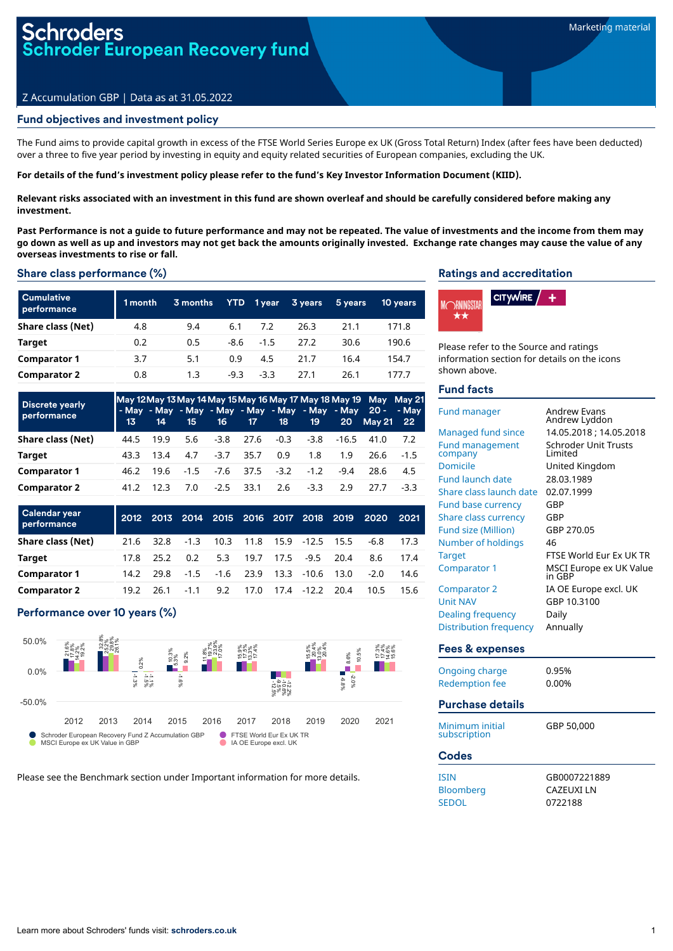# roders oder European Recovery fund

## Z Accumulation GBP | Data as at 31.05.2022

## Fund objectives and investment policy

The Fund aims to provide capital growth in excess of the FTSE World Series Europe ex UK (Gross Total Return) Index (after fees have been deducted) over a three to five year period by investing in equity and equity related securities of European companies, excluding the UK.

#### For details of the fund's investment policy please refer to the fund's Key Investor Information Document (KIID).

Relevant risks associated with an investment in this fund are shown overleaf and should be carefully considered before making any **investment.**

Past Performance is not a quide to future performance and may not be repeated. The value of investments and the income from them may go down as well as up and investors may not get back the amounts originally invested. Exchange rate changes may cause the value of any **overseas investments to rise or fall.**

#### Share class performance (%)

| <b>Cumulative</b><br>performance | 1 month | 3 months | YTD    | 1 year | 3 years | 5 years | 10 years |
|----------------------------------|---------|----------|--------|--------|---------|---------|----------|
| Share class (Net)                | 4.8     | 9.4      | 6.1    | 7.2    | 26.3    | 21.1    | 171.8    |
| Target                           | 0.2     | 0.5      | -8.6   | $-1.5$ | 27.2    | 30.6    | 190.6    |
| <b>Comparator 1</b>              | 3.7     | 5.1      | 0.9    | 4.5    | 21.7    | 16.4    | 154.7    |
| <b>Comparator 2</b>              | 0.8     | 1.3      | $-9.3$ | $-3.3$ | 27.1    | 26.1    | 177.7    |

| <b>Discrete yearly</b><br>performance | $\sqrt{13}$ | 14   | 15  |                     | 16 17 18 |        | 19                |        | May 12 May 13 May 14 May 15 May 16 May 17 May 18 May 19 May May 21<br>- May - May - May - May - May - May - May - May 20 - - May<br>20 May 21 22 |        |
|---------------------------------------|-------------|------|-----|---------------------|----------|--------|-------------------|--------|--------------------------------------------------------------------------------------------------------------------------------------------------|--------|
| Share class (Net)                     | 44.5        | 19.9 | 5.6 | $-3.8$              | 27.6     |        | $-0.3 -3.8 -16.5$ |        | 41.0                                                                                                                                             | 7.2    |
| Target                                | 43.3        | 13.4 | 4.7 | $-3.7$              | 35.7     | 0.9    | 1.8               | 1.9    | 26.6                                                                                                                                             | $-1.5$ |
| <b>Comparator 1</b>                   | 46.2        |      |     | 19.6 -1.5 -7.6 37.5 |          | $-3.2$ | $-1.2$            | $-9.4$ | 28.6                                                                                                                                             | 4.5    |
| <b>Comparator 2</b>                   | 41.2        | 12.3 | 7.0 | $-2.5$              | 33.1     | 2.6    | $-3.3$            | 2.9    | 27.7                                                                                                                                             | -33    |

| <b>Calendar year</b><br>performance |      |      | 2012 2013 2014 2015 2016 2017 2018 2019 |      |             |      |                 |      | 2020   | 2021 |
|-------------------------------------|------|------|-----------------------------------------|------|-------------|------|-----------------|------|--------|------|
| Share class (Net)                   | 21.6 | 32.8 | $-1.3$                                  | 10.3 | 11.8        |      | 15.9 -12.5 15.5 |      | -6.8   | 17.3 |
| Target                              | 17.8 | 25.2 | 0.2                                     | 5.3  | 19.7        | 17.5 | $-9.5$          | 20.4 | 8.6    | 17.4 |
| <b>Comparator 1</b>                 | 14.2 | 29.8 | $-1.5$                                  |      | $-1.6$ 23.9 |      | 13.3 -10.6 13.0 |      | $-2.0$ | 14.6 |
| <b>Comparator 2</b>                 | 19.2 | 26.1 | $-1.1$                                  | 9.2  | 17.0        |      | 17.4 - 12.2     | 20.4 | 10.5   | 15.6 |

## Performance over 10 years (%)



Please see the Benchmark section under Important information for more details.

#### Ratings and accreditation



Please refer to the Source and ratings information section for details on the icons shown above.

#### Fund facts

| <b>Fund manager</b>               | Andrew Evans<br>Andrew Lyddon     |
|-----------------------------------|-----------------------------------|
| Managed fund since                | 14.05.2018; 14.05.2018            |
| <b>Fund management</b><br>company | Schroder Unit Trusts<br>I imited  |
| Domicile                          | United Kingdom                    |
| <b>Fund launch date</b>           | 28.03.1989                        |
| Share class launch date           | 02.07.1999                        |
| <b>Fund base currency</b>         | GBP                               |
| Share class currency              | GBP                               |
| <b>Fund size (Million)</b>        | GBP 270.05                        |
| Number of holdings                | 46                                |
| <b>Target</b>                     | FTSF World Fur Fx UK TR           |
| <b>Comparator 1</b>               | MSCI Europe ex UK Value<br>in GBP |
| <b>Comparator 2</b>               | IA OE Europe excl. UK             |
| <b>Unit NAV</b>                   | GBP 10.3100                       |
| <b>Dealing frequency</b>          | Daily                             |
| Distribution frequency            | Annually                          |
| Fees & expenses                   |                                   |
| <b>Ongoing charge</b>             | 0.95%                             |
| <b>Redemption fee</b>             | 0.00%                             |
| <b>Purchase details</b>           |                                   |
| Minimum initial<br>subscription   | GBP 50.000                        |
|                                   |                                   |

| Codes            |                  |
|------------------|------------------|
| <b>ISIN</b>      | GB0007221889     |
| <b>Bloomberg</b> | <b>CAZEUXILN</b> |
| <b>SEDOL</b>     | 0722188          |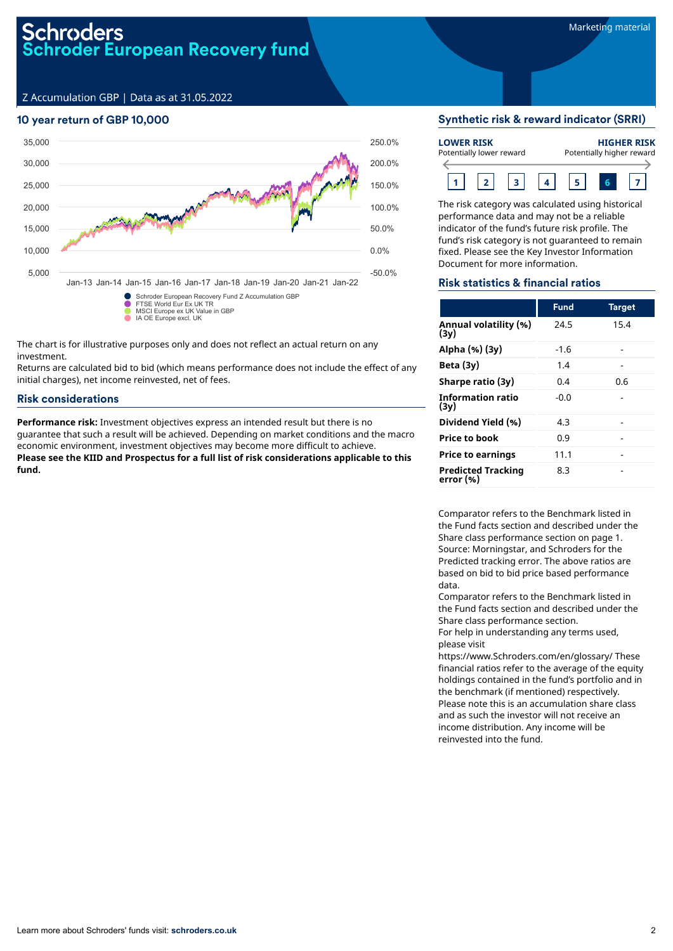## 10 year return of GBP 10,000



The chart is for illustrative purposes only and does not reflect an actual return on any investment.

Returns are calculated bid to bid (which means performance does not include the effect of any initial charges), net income reinvested, net of fees.

## Risk considerations

**Performance risk:** Investment objectives express an intended result but there is no guarantee that such a result will be achieved. Depending on market conditions and the macro economic environment, investment objectives may become more difficult to achieve. **Please see the KIID and Prospectus for a full list of risk considerations applicable to this fund.**

## Synthetic risk & reward indicator (SRRI)

| <b>LOWER RISK</b> | Potentially lower reward |  | <b>HIGHER RISK</b><br>Potentially higher reward |
|-------------------|--------------------------|--|-------------------------------------------------|
|                   |                          |  |                                                 |

The risk category was calculated using historical performance data and may not be a reliable indicator of the fund's future risk profile. The fund's risk category is not guaranteed to remain fixed. Please see the Key Investor Information Document for more information.

#### Risk statistics & financial ratios

|                                        | <b>Fund</b> | <b>Target</b> |
|----------------------------------------|-------------|---------------|
| Annual volatility (%)<br>(3v)          | 24.5        | 15.4          |
| Alpha (%) (3y)                         | -1.6        |               |
| Beta $(3y)$                            | 1.4         |               |
| Sharpe ratio (3y)                      | 0.4         | 0.6           |
| <b>Information ratio</b><br>(3y)       | -0.0        |               |
| Dividend Yield (%)                     | 4.3         |               |
| <b>Price to book</b>                   | 0.9         |               |
| <b>Price to earnings</b>               | 11.1        |               |
| <b>Predicted Tracking</b><br>error (%) | 8.3         |               |

Comparator refers to the Benchmark listed in the Fund facts section and described under the Share class performance section on page 1. Source: Morningstar, and Schroders for the Predicted tracking error. The above ratios are based on bid to bid price based performance data.

Comparator refers to the Benchmark listed in the Fund facts section and described under the Share class performance section.

For help in understanding any terms used, please visit

https://www.Schroders.com/en/glossary/ These financial ratios refer to the average of the equity holdings contained in the fund's portfolio and in the benchmark (if mentioned) respectively. Please note this is an accumulation share class and as such the investor will not receive an income distribution. Any income will be reinvested into the fund.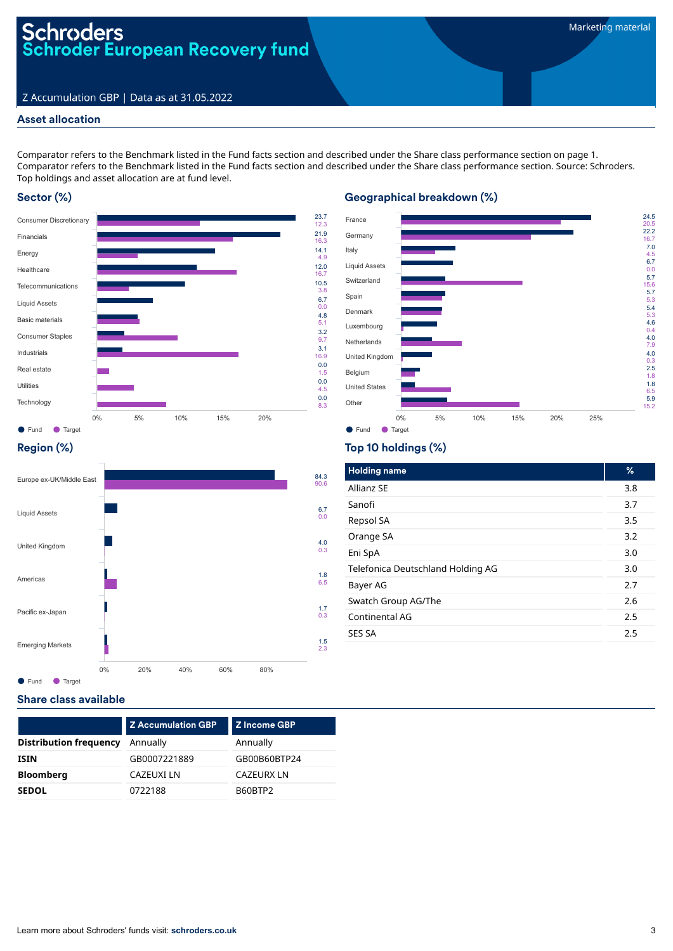## Asset allocation

Comparator refers to the Benchmark listed in the Fund facts section and described under the Share class performance section on page 1. Comparator refers to the Benchmark listed in the Fund facts section and described under the Share class performance section. Source: Schroders. Top holdings and asset allocation are at fund level.

## Sector (%)





## Region (%)



## Top 10 holdings (%)

Geographical breakdown (%)

| <b>Holding name</b>               | %   |
|-----------------------------------|-----|
| Allianz SE                        | 3.8 |
| Sanofi                            | 3.7 |
| Repsol SA                         | 3.5 |
| Orange SA                         | 3.2 |
| Eni SpA                           | 3.0 |
| Telefonica Deutschland Holding AG | 3.0 |
| Bayer AG                          | 2.7 |
| Swatch Group AG/The               | 2.6 |
| Continental AG                    | 2.5 |
| <b>SES SA</b>                     | 2.5 |
|                                   |     |

#### Share class available

| <b>Distribution frequency</b><br>Annually<br>Annually | <b>Z</b> Accumulation GBP | <b>Z</b> Income GBP |
|-------------------------------------------------------|---------------------------|---------------------|
|                                                       |                           |                     |
| <b>ISIN</b>                                           | GB0007221889              | GB00B60BTP24        |
| <b>Bloomberg</b><br><b>CAZEURX LN</b><br>CAZEUXI LN   |                           |                     |
| 0722188<br>B60BTP2<br><b>SEDOL</b>                    |                           |                     |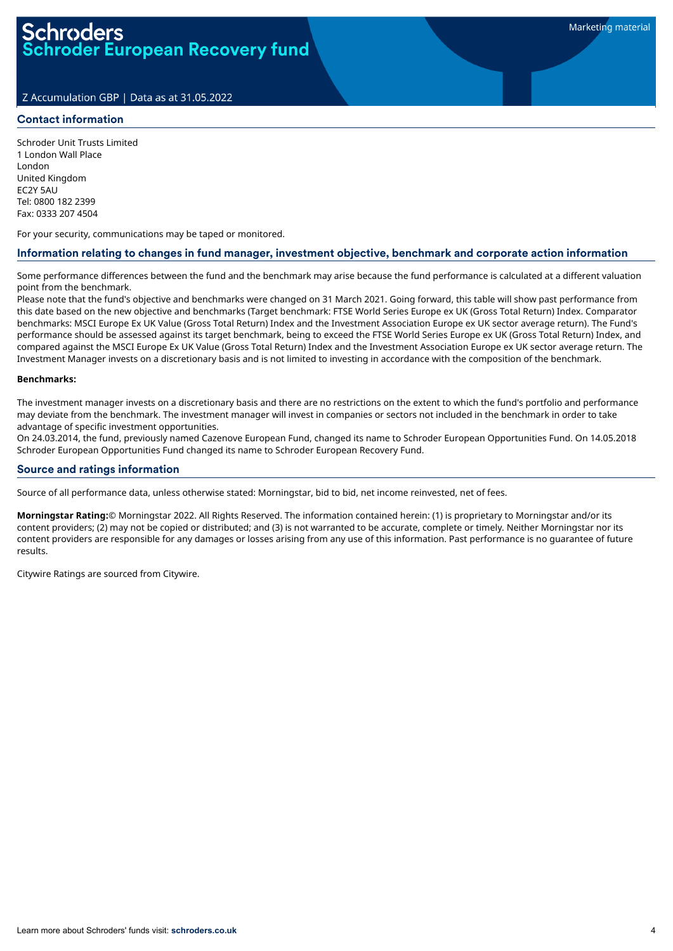#### Contact information

Schroder Unit Trusts Limited 1 London Wall Place London United Kingdom EC2Y 5AU Tel: 0800 182 2399 Fax: 0333 207 4504

For your security, communications may be taped or monitored.

#### Information relating to changes in fund manager, investment objective, benchmark and corporate action information

Some performance differences between the fund and the benchmark may arise because the fund performance is calculated at a different valuation point from the benchmark.

Please note that the fund's objective and benchmarks were changed on 31 March 2021. Going forward, this table will show past performance from this date based on the new objective and benchmarks (Target benchmark: FTSE World Series Europe ex UK (Gross Total Return) Index. Comparator benchmarks: MSCI Europe Ex UK Value (Gross Total Return) Index and the Investment Association Europe ex UK sector average return). The Fund's performance should be assessed against its target benchmark, being to exceed the FTSE World Series Europe ex UK (Gross Total Return) Index, and compared against the MSCI Europe Ex UK Value (Gross Total Return) Index and the Investment Association Europe ex UK sector average return. The Investment Manager invests on a discretionary basis and is not limited to investing in accordance with the composition of the benchmark.

#### **Benchmarks:**

The investment manager invests on a discretionary basis and there are no restrictions on the extent to which the fund's portfolio and performance may deviate from the benchmark. The investment manager will invest in companies or sectors not included in the benchmark in order to take advantage of specific investment opportunities.

On 24.03.2014, the fund, previously named Cazenove European Fund, changed its name to Schroder European Opportunities Fund. On 14.05.2018 Schroder European Opportunities Fund changed its name to Schroder European Recovery Fund.

#### Source and ratings information

Source of all performance data, unless otherwise stated: Morningstar, bid to bid, net income reinvested, net of fees.

**Morningstar Rating:**© Morningstar 2022. All Rights Reserved. The information contained herein: (1) is proprietary to Morningstar and/or its content providers; (2) may not be copied or distributed; and (3) is not warranted to be accurate, complete or timely. Neither Morningstar nor its content providers are responsible for any damages or losses arising from any use of this information. Past performance is no guarantee of future results.

Citywire Ratings are sourced from Citywire.